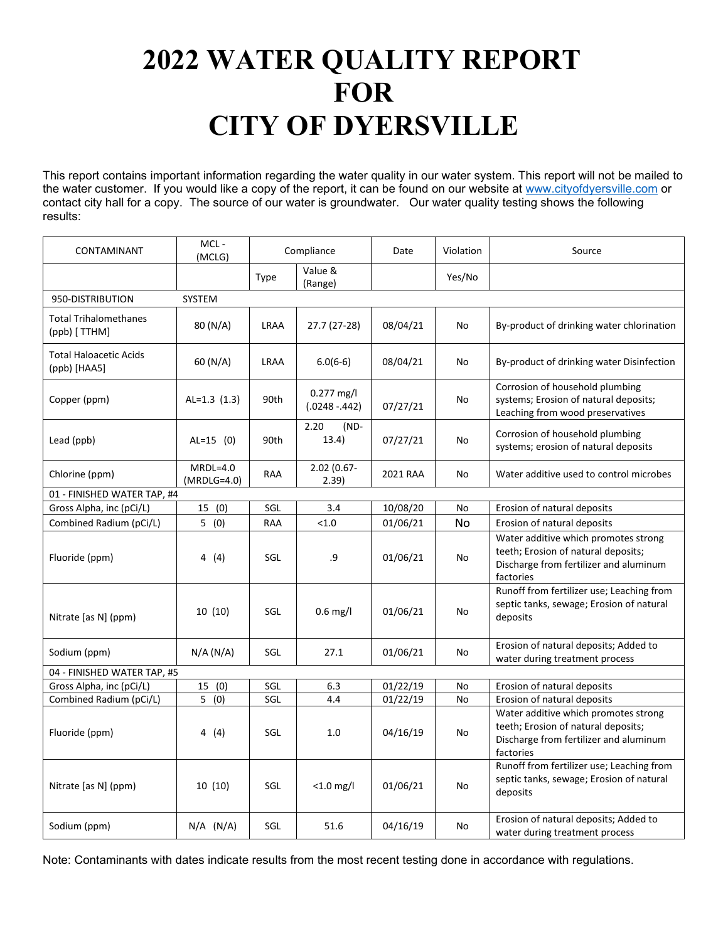# **2022 WATER QUALITY REPORT FOR CITY OF DYERSVILLE**

This report contains important information regarding the water quality in our water system. This report will not be mailed to the water customer. If you would like a copy of the report, it can be found on our website at [www.cityofdyersville.com](http://www.cityofdyersville.com/) or contact city hall for a copy. The source of our water is groundwater. Our water quality testing shows the following results:

| CONTAMINANT                                   | MCL-<br>(MCLG)              | Compliance  |                                | Date     | Violation | Source                                                                                                                             |
|-----------------------------------------------|-----------------------------|-------------|--------------------------------|----------|-----------|------------------------------------------------------------------------------------------------------------------------------------|
|                                               |                             | Type        | Value &<br>(Range)             |          | Yes/No    |                                                                                                                                    |
| 950-DISTRIBUTION<br>SYSTEM                    |                             |             |                                |          |           |                                                                                                                                    |
| <b>Total Trihalomethanes</b><br>(ppb) [ TTHM] | 80 (N/A)                    | <b>LRAA</b> | 27.7 (27-28)                   | 08/04/21 | No        | By-product of drinking water chlorination                                                                                          |
| <b>Total Haloacetic Acids</b><br>(ppb) [HAA5] | 60 (N/A)                    | LRAA        | $6.0(6-6)$                     | 08/04/21 | No        | By-product of drinking water Disinfection                                                                                          |
| Copper (ppm)                                  | AL= $1.3$ (1.3)             | 90th        | $0.277$ mg/l<br>$(.0248-.442)$ | 07/27/21 | No        | Corrosion of household plumbing<br>systems; Erosion of natural deposits;<br>Leaching from wood preservatives                       |
| Lead (ppb)                                    | $AL=15$ (0)                 | 90th        | 2.20<br>$(ND -$<br>13.4)       | 07/27/21 | No        | Corrosion of household plumbing<br>systems; erosion of natural deposits                                                            |
| Chlorine (ppm)                                | $MRDL=4.0$<br>$(MRDLG=4.0)$ | RAA         | 2.02 (0.67-<br>2.39)           | 2021 RAA | <b>No</b> | Water additive used to control microbes                                                                                            |
| 01 - FINISHED WATER TAP, #4                   |                             |             |                                |          |           |                                                                                                                                    |
| Gross Alpha, inc (pCi/L)                      | (0)<br>15                   | SGL         | 3.4                            | 10/08/20 | No        | Erosion of natural deposits                                                                                                        |
| Combined Radium (pCi/L)                       | 5(0)                        | <b>RAA</b>  | < 1.0                          | 01/06/21 | <b>No</b> | Erosion of natural deposits                                                                                                        |
| Fluoride (ppm)                                | 4(4)                        | SGL         | .9                             | 01/06/21 | No        | Water additive which promotes strong<br>teeth; Erosion of natural deposits;<br>Discharge from fertilizer and aluminum<br>factories |
| Nitrate [as N] (ppm)                          | 10 (10)                     | SGL         | $0.6$ mg/l                     | 01/06/21 | No        | Runoff from fertilizer use; Leaching from<br>septic tanks, sewage; Erosion of natural<br>deposits                                  |
| Sodium (ppm)                                  | N/A (N/A)                   | SGL         | 27.1                           | 01/06/21 | No        | Erosion of natural deposits; Added to<br>water during treatment process                                                            |
| 04 - FINISHED WATER TAP, #5                   |                             |             |                                |          |           |                                                                                                                                    |
| Gross Alpha, inc (pCi/L)                      | 15<br>(0)                   | SGL         | 6.3                            | 01/22/19 | No        | Erosion of natural deposits                                                                                                        |
| Combined Radium (pCi/L)                       | $\overline{5}$ (0)          | SGL         | 4.4                            | 01/22/19 | No        | Erosion of natural deposits                                                                                                        |
| Fluoride (ppm)                                | 4 (4)                       | SGL         | 1.0                            | 04/16/19 | No        | Water additive which promotes strong<br>teeth; Erosion of natural deposits;<br>Discharge from fertilizer and aluminum<br>factories |
| Nitrate [as N] (ppm)                          | 10 (10)                     | SGL         | $<$ 1.0 mg/l                   | 01/06/21 | No        | Runoff from fertilizer use; Leaching from<br>septic tanks, sewage; Erosion of natural<br>deposits                                  |
| Sodium (ppm)                                  | $N/A$ (N/A)                 | SGL         | 51.6                           | 04/16/19 | No        | Erosion of natural deposits; Added to<br>water during treatment process                                                            |

Note: Contaminants with dates indicate results from the most recent testing done in accordance with regulations.